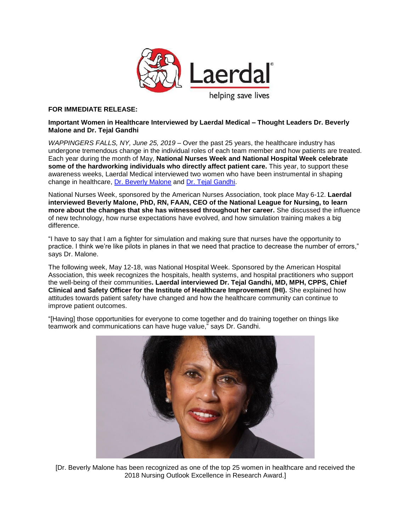

## **FOR IMMEDIATE RELEASE:**

## **Important Women in Healthcare Interviewed by Laerdal Medical – Thought Leaders Dr. Beverly Malone and Dr. Tejal Gandhi**

*WAPPINGERS FALLS, NY, June 25, 2019 – Over the past 25 years, the healthcare industry has* undergone tremendous change in the individual roles of each team member and how patients are treated. Each year during the month of May, **National Nurses Week and National Hospital Week celebrate some of the hardworking individuals who directly affect patient care.** This year, to support these awareness weeks, Laerdal Medical interviewed two women who have been instrumental in shaping change in healthcare, [Dr. Beverly Malone](https://www.laerdal.com/us/information/2019-national-nurses-week/?utm_source=PR%20Newswire&utm_medium=Press%20Release&utm_campaign=19-17545%20-%20Women%20in%20Healthcare%20Press%20Release&utm_content=National%20Nurses%20Week%202019) and [Dr. Tejal Gandhi.](https://laerdal.com/us/information/2019-national-hospital-week/?utm_source=PR%20Newswire&utm_medium=Press%20Release&utm_campaign=19-17545%20-%20Women%20in%20Healthcare%20Press%20Release&utm_content=National%20Hospital%20Week%202019)

National Nurses Week, sponsored by the American Nurses Association, took place May 6-12. **Laerdal interviewed Beverly Malone, PhD, RN, FAAN, CEO of the National League for Nursing, to learn more about the changes that she has witnessed throughout her career.** She discussed the influence of new technology, how nurse expectations have evolved, and how simulation training makes a big difference.

"I have to say that I am a fighter for simulation and making sure that nurses have the opportunity to practice. I think we're like pilots in planes in that we need that practice to decrease the number of errors," says Dr. Malone.

The following week, May 12-18, was National Hospital Week. Sponsored by the American Hospital Association, this week recognizes the hospitals, health systems, and hospital practitioners who support the well-being of their communities**. Laerdal interviewed Dr. Tejal Gandhi, MD, MPH, CPPS, Chief Clinical and Safety Officer for the Institute of Healthcare Improvement (IHI).** She explained how attitudes towards patient safety have changed and how the healthcare community can continue to improve patient outcomes.

"[Having] those opportunities for everyone to come together and do training together on things like teamwork and communications can have huge value," says Dr. Gandhi.



[Dr. Beverly Malone has been recognized as one of the top 25 women in healthcare and received the 2018 Nursing Outlook Excellence in Research Award.]